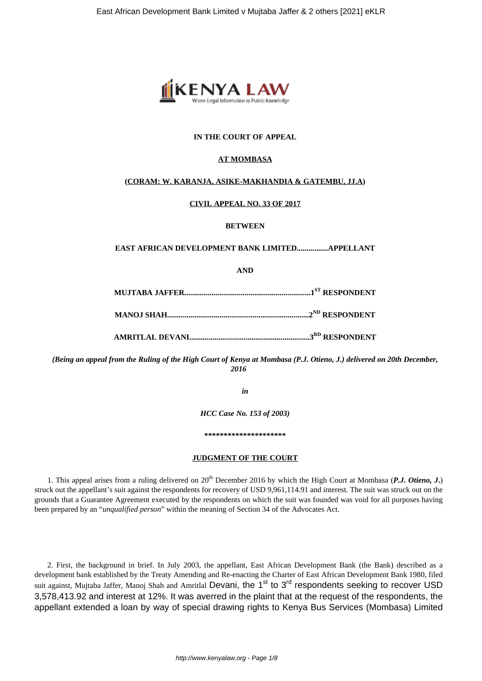

# **IN THE COURT OF APPEAL**

## **AT MOMBASA**

## **(CORAM: W. KARANJA, ASIKE-MAKHANDIA & GATEMBU, JJ.A)**

### **CIVIL APPEAL NO. 33 OF 2017**

### **BETWEEN**

### **EAST AFRICAN DEVELOPMENT BANK LIMITED................APPELLANT**

**AND**

*(Being an appeal from the Ruling of the High Court of Kenya at Mombasa (P.J. Otieno, J.) delivered on 20th December, 2016*

*in*

*HCC Case No. 153 of 2003)*

**\*\*\*\*\*\*\*\*\*\*\*\*\*\*\*\*\*\*\*\*\***

#### **JUDGMENT OF THE COURT**

1. This appeal arises from a ruling delivered on  $20<sup>th</sup>$  December 2016 by which the High Court at Mombasa (*P.J. Otieno, J.*) struck out the appellant's suit against the respondents for recovery of USD 9,961,114.91 and interest. The suit was struck out on the grounds that a Guarantee Agreement executed by the respondents on which the suit was founded was void for all purposes having been prepared by an "*unqualified person*" within the meaning of Section 34 of the Advocates Act.

2. First, the background in brief. In July 2003, the appellant, East African Development Bank (the Bank) described as a development bank established by the Treaty Amending and Re-enacting the Charter of East African Development Bank 1980, filed suit against, Mujtaba Jaffer, Manoj Shah and Amritlal Devani, the 1<sup>st</sup> to 3<sup>rd</sup> respondents seeking to recover USD 3,578,413.92 and interest at 12%. It was averred in the plaint that at the request of the respondents, the appellant extended a loan by way of special drawing rights to Kenya Bus Services (Mombasa) Limited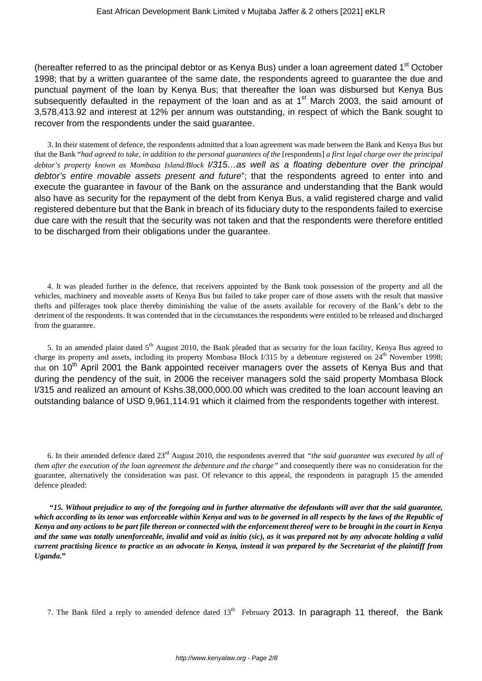(hereafter referred to as the principal debtor or as Kenya Bus) under a loan agreement dated  $1<sup>st</sup>$  October 1998; that by a written guarantee of the same date, the respondents agreed to guarantee the due and punctual payment of the loan by Kenya Bus; that thereafter the loan was disbursed but Kenya Bus subsequently defaulted in the repayment of the loan and as at  $1<sup>st</sup>$  March 2003, the said amount of 3,578,413.92 and interest at 12% per annum was outstanding, in respect of which the Bank sought to recover from the respondents under the said guarantee.

3. In their statement of defence, the respondents admitted that a loan agreement was made between the Bank and Kenya Bus but that the Bank "*had agreed to take, in addition to the personal guarantees of the* [respondents] *a first legal charge over the principal debtor's property known as Mombasa Island/Block* I/315…as well as a floating debenture over the principal debtor's entire movable assets present and future"; that the respondents agreed to enter into and execute the guarantee in favour of the Bank on the assurance and understanding that the Bank would also have as security for the repayment of the debt from Kenya Bus, a valid registered charge and valid registered debenture but that the Bank in breach of its fiduciary duty to the respondents failed to exercise due care with the result that the security was not taken and that the respondents were therefore entitled to be discharged from their obligations under the guarantee.

4. It was pleaded further in the defence, that receivers appointed by the Bank took possession of the property and all the vehicles, machinery and moveable assets of Kenya Bus but failed to take proper care of those assets with the result that massive thefts and pilferages took place thereby diminishing the value of the assets available for recovery of the Bank's debt to the detriment of the respondents. It was contended that in the circumstances the respondents were entitled to be released and discharged from the guarantee.

5. In an amended plaint dated  $5<sup>th</sup>$  August 2010, the Bank pleaded that as security for the loan facility, Kenya Bus agreed to charge its property and assets, including its property Mombasa Block I/315 by a debenture registered on 24<sup>th</sup> November 1998; that on  $10<sup>th</sup>$  April 2001 the Bank appointed receiver managers over the assets of Kenya Bus and that during the pendency of the suit, in 2006 the receiver managers sold the said property Mombasa Block I/315 and realized an amount of Kshs.38,000,000.00 which was credited to the loan account leaving an outstanding balance of USD 9,961,114.91 which it claimed from the respondents together with interest.

6. In their amended defence dated 23rd August 2010, the respondents averred that *"the said guarantee was executed by all of them after the execution of the loan agreement the debenture and the charge"* and consequently there was no consideration for the guarantee, alternatively the consideration was past. Of relevance to this appeal, the respondents in paragraph 15 the amended defence pleaded:

**"***15. Without prejudice to any of the foregoing and in further alternative the defendants will aver that the said guarantee, which according to its tenor was enforceable within Kenya and was to be governed in all respects by the laws of the Republic of Kenya and any actions to be part file thereon or connected with the enforcement thereof were to be brought in the court in Kenya and the same was totally unenforceable, invalid and void as initio (sic), as it was prepared not by any advocate holding a valid current practising licence to practice as an advocate in Kenya, instead it was prepared by the Secretariat of the plaintiff from Uganda***."**

7. The Bank filed a reply to amended defence dated  $13<sup>th</sup>$  February 2013. In paragraph 11 thereof, the Bank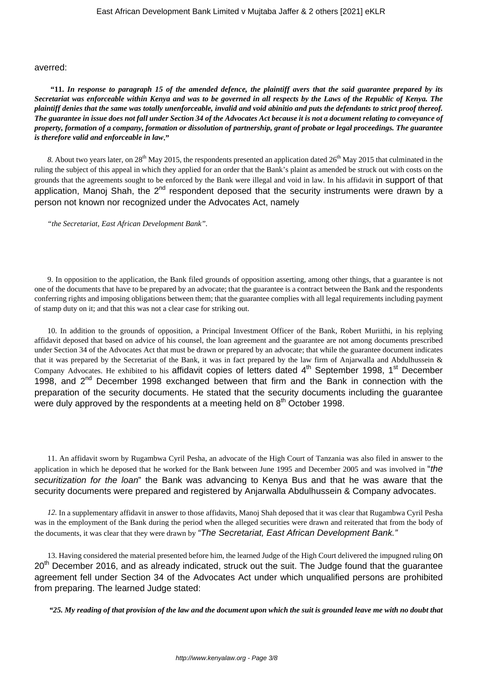#### averred:

**"11.** *In response to paragraph 15 of the amended defence, the plaintiff avers that the said guarantee prepared by its Secretariat was enforceable within Kenya and was to be governed in all respects by the Laws of the Republic of Kenya. The plaintiff denies that the same was totally unenforceable, invalid and void abinitio and puts the defendants to strict proof thereof. The guarantee in issue does not fall under Section 34 of the Advocates Act because it is not a document relating to conveyance of property, formation of a company, formation or dissolution of partnership, grant of probate or legal proceedings. The guarantee is therefore valid and enforceable in law***."**

8. About two years later, on 28<sup>th</sup> May 2015, the respondents presented an application dated 26<sup>th</sup> May 2015 that culminated in the ruling the subject of this appeal in which they applied for an order that the Bank's plaint as amended be struck out with costs on the grounds that the agreements sought to be enforced by the Bank were illegal and void in law. In his affidavit in support of that application, Manoj Shah, the 2<sup>nd</sup> respondent deposed that the security instruments were drawn by a person not known nor recognized under the Advocates Act, namely

*"the Secretariat, East African Development Bank".*

9. In opposition to the application, the Bank filed grounds of opposition asserting, among other things, that a guarantee is not one of the documents that have to be prepared by an advocate; that the guarantee is a contract between the Bank and the respondents conferring rights and imposing obligations between them; that the guarantee complies with all legal requirements including payment of stamp duty on it; and that this was not a clear case for striking out.

10. In addition to the grounds of opposition, a Principal Investment Officer of the Bank, Robert Muriithi, in his replying affidavit deposed that based on advice of his counsel, the loan agreement and the guarantee are not among documents prescribed under Section 34 of the Advocates Act that must be drawn or prepared by an advocate; that while the guarantee document indicates that it was prepared by the Secretariat of the Bank, it was in fact prepared by the law firm of Anjarwalla and Abdulhussein & Company Advocates. He exhibited to his affidavit copies of letters dated  $4<sup>th</sup>$  September 1998, 1<sup>st</sup> December 1998. and  $2^{nd}$  December 1998 exchanged between that firm and the Bank in connection with the preparation of the security documents. He stated that the security documents including the guarantee were duly approved by the respondents at a meeting held on 8<sup>th</sup> October 1998.

11. An affidavit sworn by Rugambwa Cyril Pesha, an advocate of the High Court of Tanzania was also filed in answer to the application in which he deposed that he worked for the Bank between June 1995 and December 2005 and was involved in "the securitization for the loan" the Bank was advancing to Kenya Bus and that he was aware that the security documents were prepared and registered by Anjarwalla Abdulhussein & Company advocates.

*12.* In a supplementary affidavit in answer to those affidavits, Manoj Shah deposed that it was clear that Rugambwa Cyril Pesha was in the employment of the Bank during the period when the alleged securities were drawn and reiterated that from the body of the documents, it was clear that they were drawn by "The Secretariat, East African Development Bank."

13. Having considered the material presented before him, the learned Judge of the High Court delivered the impugned ruling ON 20<sup>th</sup> December 2016, and as already indicated, struck out the suit. The Judge found that the quarantee agreement fell under Section 34 of the Advocates Act under which unqualified persons are prohibited from preparing. The learned Judge stated:

*"25. My reading of that provision of the law and the document upon which the suit is grounded leave me with no doubt that*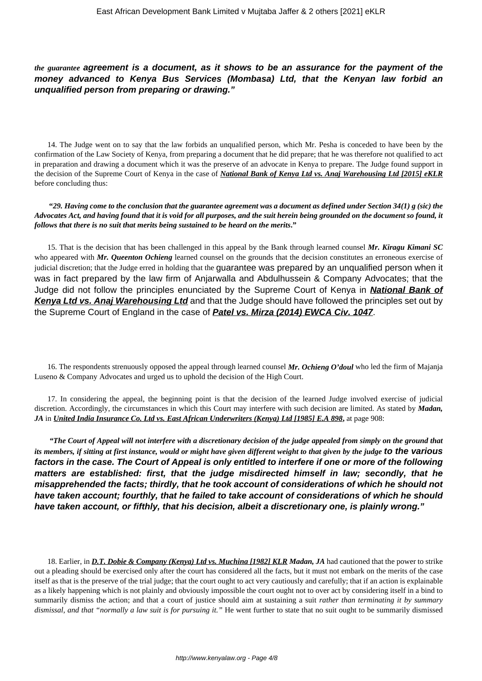*the guarantee* **agreement is a document, as it shows to be an assurance for the payment of the money advanced to Kenya Bus Services (Mombasa) Ltd, that the Kenyan law forbid an unqualified person from preparing or drawing."**

14. The Judge went on to say that the law forbids an unqualified person, which Mr. Pesha is conceded to have been by the confirmation of the Law Society of Kenya, from preparing a document that he did prepare; that he was therefore not qualified to act in preparation and drawing a document which it was the preserve of an advocate in Kenya to prepare. The Judge found support in the decision of the Supreme Court of Kenya in the case of *National Bank of Kenya Ltd vs. Anaj Warehousing Ltd [2015] eKLR* before concluding thus:

**"***29. Having come to the conclusion that the guarantee agreement was a document as defined under Section 34(1) g (sic) the Advocates Act, and having found that it is void for all purposes, and the suit herein being grounded on the document so found, it follows that there is no suit that merits being sustained to be heard on the merits***."**

15. That is the decision that has been challenged in this appeal by the Bank through learned counsel *Mr. Kiragu Kimani SC* who appeared with *Mr. Queenton Ochieng* learned counsel on the grounds that the decision constitutes an erroneous exercise of judicial discretion; that the Judge erred in holding that the guarantee was prepared by an unqualified person when it was in fact prepared by the law firm of Anjarwalla and Abdulhussein & Company Advocates; that the Judge did not follow the principles enunciated by the Supreme Court of Kenya in **National Bank of Kenya Ltd vs. Anaj Warehousing Ltd** and that the Judge should have followed the principles set out by the Supreme Court of England in the case of **Patel vs. Mirza (2014) EWCA Civ. 1047**.

16. The respondents strenuously opposed the appeal through learned counsel *Mr. Ochieng O'doul* who led the firm of Majanja Luseno & Company Advocates and urged us to uphold the decision of the High Court.

17. In considering the appeal, the beginning point is that the decision of the learned Judge involved exercise of judicial discretion. Accordingly, the circumstances in which this Court may interfere with such decision are limited. As stated by *Madan, JA* in *United India Insurance Co. Ltd vs. East African Underwriters (Kenya) Ltd [1985] E.A 898***,** at page 908:

*"The Court of Appeal will not interfere with a discretionary decision of the judge appealed from simply on the ground that its members, if sitting at first instance, would or might have given different weight to that given by the judge* **to the various factors in the case. The Court of Appeal is only entitled to interfere if one or more of the following matters are established: first, that the judge misdirected himself in law; secondly, that he misapprehended the facts; thirdly, that he took account of considerations of which he should not have taken account; fourthly, that he failed to take account of considerations of which he should have taken account, or fifthly, that his decision, albeit a discretionary one, is plainly wrong."**

18. Earlier, in *D.T. Dobie & Company (Kenya) Ltd vs. Muchina [1982] KLR Madan, JA* had cautioned that the power to strike out a pleading should be exercised only after the court has considered all the facts, but it must not embark on the merits of the case itself as that is the preserve of the trial judge; that the court ought to act very cautiously and carefully; that if an action is explainable as a likely happening which is not plainly and obviously impossible the court ought not to over act by considering itself in a bind to summarily dismiss the action; and that a court of justice should aim at sustaining a suit *rather than terminating it by summary dismissal, and that "normally a law suit is for pursuing it."* He went further to state that no suit ought to be summarily dismissed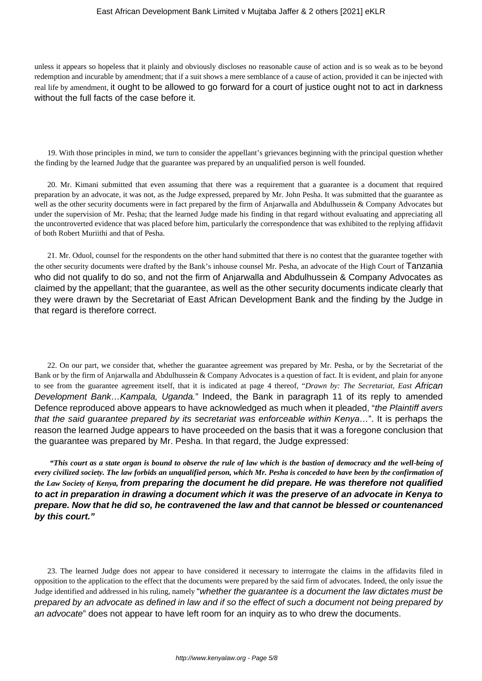unless it appears so hopeless that it plainly and obviously discloses no reasonable cause of action and is so weak as to be beyond redemption and incurable by amendment; that if a suit shows a mere semblance of a cause of action, provided it can be injected with real life by amendment, it ought to be allowed to go forward for a court of justice ought not to act in darkness without the full facts of the case before it.

19. With those principles in mind, we turn to consider the appellant's grievances beginning with the principal question whether the finding by the learned Judge that the guarantee was prepared by an unqualified person is well founded.

20. Mr. Kimani submitted that even assuming that there was a requirement that a guarantee is a document that required preparation by an advocate, it was not, as the Judge expressed, prepared by Mr. John Pesha. It was submitted that the guarantee as well as the other security documents were in fact prepared by the firm of Anjarwalla and Abdulhussein & Company Advocates but under the supervision of Mr. Pesha; that the learned Judge made his finding in that regard without evaluating and appreciating all the uncontroverted evidence that was placed before him, particularly the correspondence that was exhibited to the replying affidavit of both Robert Muriithi and that of Pesha.

21. Mr. Oduol, counsel for the respondents on the other hand submitted that there is no contest that the guarantee together with the other security documents were drafted by the Bank's inhouse counsel Mr. Pesha, an advocate of the High Court of Tanzania who did not qualify to do so, and not the firm of Anjarwalla and Abdulhussein & Company Advocates as claimed by the appellant; that the guarantee, as well as the other security documents indicate clearly that they were drawn by the Secretariat of East African Development Bank and the finding by the Judge in that regard is therefore correct.

22. On our part, we consider that, whether the guarantee agreement was prepared by Mr. Pesha, or by the Secretariat of the Bank or by the firm of Anjarwalla and Abdulhussein & Company Advocates is a question of fact. It is evident, and plain for anyone to see from the guarantee agreement itself, that it is indicated at page 4 thereof, "*Drawn by: The Secretariat, East* African Development Bank... Kampala, Uganda." Indeed, the Bank in paragraph 11 of its reply to amended Defence reproduced above appears to have acknowledged as much when it pleaded, "the Plaintiff avers" that the said guarantee prepared by its secretariat was enforceable within Kenya…". It is perhaps the reason the learned Judge appears to have proceeded on the basis that it was a foregone conclusion that the guarantee was prepared by Mr. Pesha. In that regard, the Judge expressed:

*"This court as a state organ is bound to observe the rule of law which is the bastion of democracy and the well-being of every civilized society. The law forbids an unqualified person, which Mr. Pesha is conceded to have been by the confirmation of the Law Society of Kenya,* **from preparing the document he did prepare. He was therefore not qualified to act in preparation in drawing a document which it was the preserve of an advocate in Kenya to prepare. Now that he did so, he contravened the law and that cannot be blessed or countenanced by this court."**

23. The learned Judge does not appear to have considered it necessary to interrogate the claims in the affidavits filed in opposition to the application to the effect that the documents were prepared by the said firm of advocates. Indeed, the only issue the Judge identified and addressed in his ruling, namely "whether the guarantee is a document the law dictates must be prepared by an advocate as defined in law and if so the effect of such a document not being prepared by an advocate" does not appear to have left room for an inquiry as to who drew the documents.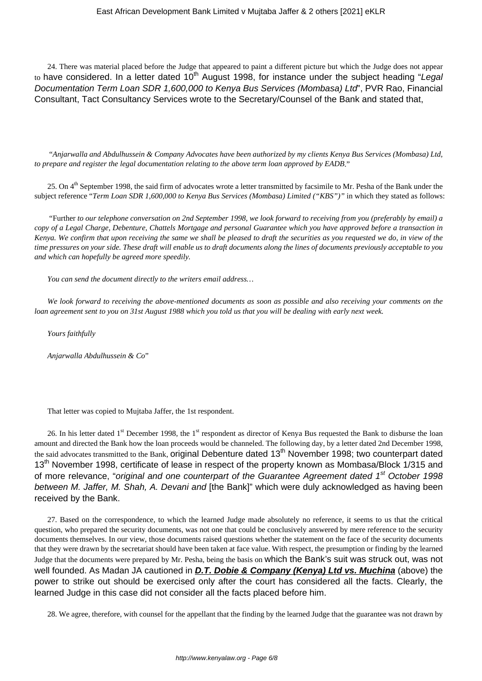24. There was material placed before the Judge that appeared to paint a different picture but which the Judge does not appear to have considered. In a letter dated  $10<sup>th</sup>$  August 1998, for instance under the subject heading "Legal Documentation Term Loan SDR 1,600,000 to Kenya Bus Services (Mombasa) Ltd", PVR Rao, Financial Consultant, Tact Consultancy Services wrote to the Secretary/Counsel of the Bank and stated that,

"*Anjarwalla and Abdulhussein & Company Advocates have been authorized by my clients Kenya Bus Services (Mombasa) Ltd, to prepare and register the legal documentation relating to the above term loan approved by EADB*."

25. On 4<sup>th</sup> September 1998, the said firm of advocates wrote a letter transmitted by facsimile to Mr. Pesha of the Bank under the subject reference "*Term Loan SDR 1,600,000 to Kenya Bus Services (Mombasa) Limited ("KBS")"* in which they stated as follows:

"Further *to our telephone conversation on 2nd September 1998, we look forward to receiving from you (preferably by email) a copy of a Legal Charge, Debenture, Chattels Mortgage and personal Guarantee which you have approved before a transaction in Kenya. We confirm that upon receiving the same we shall be pleased to draft the securities as you requested we do, in view of the time pressures on your side. These draft will enable us to draft documents along the lines of documents previously acceptable to you and which can hopefully be agreed more speedily.*

*You can send the document directly to the writers email address…*

*We look forward to receiving the above-mentioned documents as soon as possible and also receiving your comments on the loan agreement sent to you on 31st August 1988 which you told us that you will be dealing with early next week.*

*Yours faithfully*

*Anjarwalla Abdulhussein & Co*"

That letter was copied to Mujtaba Jaffer, the 1st respondent.

26. In his letter dated  $1<sup>st</sup>$  December 1998, the  $1<sup>st</sup>$  respondent as director of Kenya Bus requested the Bank to disburse the loan amount and directed the Bank how the loan proceeds would be channeled. The following day, by a letter dated 2nd December 1998, the said advocates transmitted to the Bank, original Debenture dated 13<sup>th</sup> November 1998; two counterpart dated 13<sup>th</sup> November 1998, certificate of lease in respect of the property known as Mombasa/Block 1/315 and of more relevance, "original and one counterpart of the Guarantee Agreement dated  $1<sup>st</sup>$  October 1998 between M. Jaffer, M. Shah, A. Devani and [the Bank]" which were duly acknowledged as having been received by the Bank.

27. Based on the correspondence, to which the learned Judge made absolutely no reference, it seems to us that the critical question, who prepared the security documents, was not one that could be conclusively answered by mere reference to the security documents themselves. In our view, those documents raised questions whether the statement on the face of the security documents that they were drawn by the secretariat should have been taken at face value. With respect, the presumption or finding by the learned Judge that the documents were prepared by Mr. Pesha, being the basis on which the Bank's suit was struck out, was not well founded. As Madan JA cautioned in **D.T. Dobie & Company (Kenya) Ltd vs. Muchina** (above) the power to strike out should be exercised only after the court has considered all the facts. Clearly, the learned Judge in this case did not consider all the facts placed before him.

28. We agree, therefore, with counsel for the appellant that the finding by the learned Judge that the guarantee was not drawn by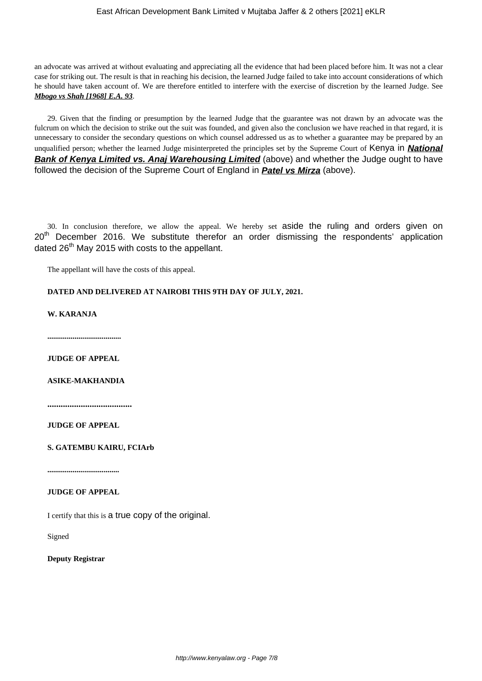an advocate was arrived at without evaluating and appreciating all the evidence that had been placed before him. It was not a clear case for striking out. The result is that in reaching his decision, the learned Judge failed to take into account considerations of which he should have taken account of. We are therefore entitled to interfere with the exercise of discretion by the learned Judge. See *Mbogo vs Shah [1968] E.A. 93*.

29. Given that the finding or presumption by the learned Judge that the guarantee was not drawn by an advocate was the fulcrum on which the decision to strike out the suit was founded, and given also the conclusion we have reached in that regard, it is unnecessary to consider the secondary questions on which counsel addressed us as to whether a guarantee may be prepared by an unqualified person; whether the learned Judge misinterpreted the principles set by the Supreme Court of Kenya in **National Bank of Kenya Limited vs. Anaj Warehousing Limited** (above) and whether the Judge ought to have followed the decision of the Supreme Court of England in **Patel vs Mirza** (above).

30. In conclusion therefore, we allow the appeal. We hereby set aside the ruling and orders given on  $20<sup>th</sup>$  December 2016. We substitute therefor an order dismissing the respondents' application dated 26<sup>th</sup> May 2015 with costs to the appellant.

The appellant will have the costs of this appeal.

# **DATED AND DELIVERED AT NAIROBI THIS 9TH DAY OF JULY, 2021.**

**W. KARANJA**

**......................................**

**JUDGE OF APPEAL**

## **ASIKE-MAKHANDIA**

**......................................**

**JUDGE OF APPEAL**

**S. GATEMBU KAIRU, FCIArb**

**.....................................**

# **JUDGE OF APPEAL**

I certify that this is a true copy of the original.

Signed

**Deputy Registrar**